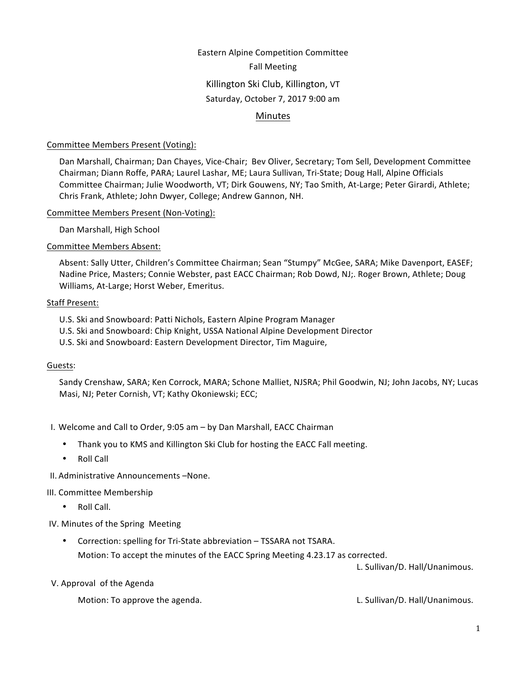# Eastern Alpine Competition Committee Fall Meeting Killington Ski Club, Killington, VT Saturday, October 7, 2017 9:00 am

# Minutes

### Committee Members Present (Voting):

Dan Marshall, Chairman; Dan Chayes, Vice-Chair; Bev Oliver, Secretary; Tom Sell, Development Committee Chairman; Diann Roffe, PARA; Laurel Lashar, ME; Laura Sullivan, Tri-State; Doug Hall, Alpine Officials Committee Chairman; Julie Woodworth, VT; Dirk Gouwens, NY; Tao Smith, At-Large; Peter Girardi, Athlete; Chris Frank, Athlete; John Dwyer, College; Andrew Gannon, NH.

#### Committee Members Present (Non-Voting):

Dan Marshall, High School

#### Committee Members Absent:

Absent: Sally Utter, Children's Committee Chairman; Sean "Stumpy" McGee, SARA; Mike Davenport, EASEF; Nadine Price, Masters; Connie Webster, past EACC Chairman; Rob Dowd, NJ;. Roger Brown, Athlete; Doug Williams, At-Large; Horst Weber, Emeritus.

#### Staff Present:

- U.S. Ski and Snowboard: Patti Nichols, Eastern Alpine Program Manager
- U.S. Ski and Snowboard: Chip Knight, USSA National Alpine Development Director
- U.S. Ski and Snowboard: Eastern Development Director, Tim Maguire,

#### Guests:

Sandy Crenshaw, SARA; Ken Corrock, MARA; Schone Malliet, NJSRA; Phil Goodwin, NJ; John Jacobs, NY; Lucas Masi, NJ; Peter Cornish, VT; Kathy Okoniewski; ECC;

- I. Welcome and Call to Order, 9:05 am by Dan Marshall, EACC Chairman
	- Thank you to KMS and Killington Ski Club for hosting the EACC Fall meeting.
	- Roll Call

II. Administrative Announcements –None.

#### III. Committee Membership

- Roll Call.
- IV. Minutes of the Spring Meeting
	- Correction: spelling for Tri-State abbreviation TSSARA not TSARA. Motion: To accept the minutes of the EACC Spring Meeting 4.23.17 as corrected.

L. Sullivan/D. Hall/Unanimous.

V. Approval of the Agenda

Motion: To approve the agenda. The same controller and the set of the set of the set of the set of the set of the set of the set of the set of the set of the set of the set of the set of the set of the set of the set of th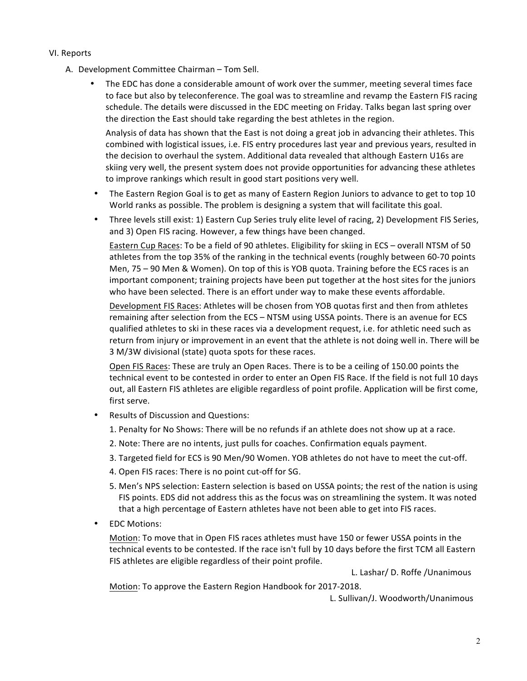#### VI. Reports

- A. Development Committee Chairman Tom Sell.
	- The EDC has done a considerable amount of work over the summer, meeting several times face to face but also by teleconference. The goal was to streamline and revamp the Eastern FIS racing schedule. The details were discussed in the EDC meeting on Friday. Talks began last spring over the direction the East should take regarding the best athletes in the region.

Analysis of data has shown that the East is not doing a great job in advancing their athletes. This combined with logistical issues, i.e. FIS entry procedures last year and previous years, resulted in the decision to overhaul the system. Additional data revealed that although Eastern U16s are skiing very well, the present system does not provide opportunities for advancing these athletes to improve rankings which result in good start positions very well.

• The Eastern Region Goal is to get as many of Eastern Region Juniors to advance to get to top 10 World ranks as possible. The problem is designing a system that will facilitate this goal.

• Three levels still exist: 1) Eastern Cup Series truly elite level of racing, 2) Development FIS Series, and 3) Open FIS racing. However, a few things have been changed.

Eastern Cup Races: To be a field of 90 athletes. Eligibility for skiing in ECS – overall NTSM of 50 athletes from the top 35% of the ranking in the technical events (roughly between 60-70 points Men, 75 - 90 Men & Women). On top of this is YOB quota. Training before the ECS races is an important component; training projects have been put together at the host sites for the juniors who have been selected. There is an effort under way to make these events affordable.

Development FIS Races: Athletes will be chosen from YOB quotas first and then from athletes remaining after selection from the ECS – NTSM using USSA points. There is an avenue for ECS qualified athletes to ski in these races via a development request, i.e. for athletic need such as return from injury or improvement in an event that the athlete is not doing well in. There will be 3 M/3W divisional (state) quota spots for these races.

Open FIS Races: These are truly an Open Races. There is to be a ceiling of 150.00 points the technical event to be contested in order to enter an Open FIS Race. If the field is not full 10 days out, all Eastern FIS athletes are eligible regardless of point profile. Application will be first come, first serve.

- Results of Discussion and Questions:
	- 1. Penalty for No Shows: There will be no refunds if an athlete does not show up at a race.
	- 2. Note: There are no intents, just pulls for coaches. Confirmation equals payment.
	- 3. Targeted field for ECS is 90 Men/90 Women. YOB athletes do not have to meet the cut-off.
	- 4. Open FIS races: There is no point cut-off for SG.
	- 5. Men's NPS selection: Eastern selection is based on USSA points; the rest of the nation is using FIS points. EDS did not address this as the focus was on streamlining the system. It was noted that a high percentage of Eastern athletes have not been able to get into FIS races.
- **EDC Motions:**

Motion: To move that in Open FIS races athletes must have 150 or fewer USSA points in the technical events to be contested. If the race isn't full by 10 days before the first TCM all Eastern FIS athletes are eligible regardless of their point profile.

L. Lashar/ D. Roffe / Unanimous

Motion: To approve the Eastern Region Handbook for 2017-2018.

L. Sullivan/J. Woodworth/Unanimous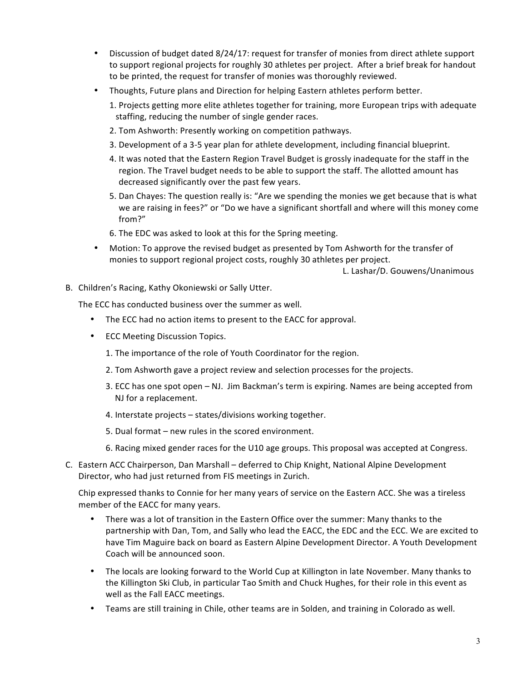- Discussion of budget dated 8/24/17: request for transfer of monies from direct athlete support to support regional projects for roughly 30 athletes per project. After a brief break for handout to be printed, the request for transfer of monies was thoroughly reviewed.
- Thoughts, Future plans and Direction for helping Eastern athletes perform better.
	- 1. Projects getting more elite athletes together for training, more European trips with adequate staffing, reducing the number of single gender races.
	- 2. Tom Ashworth: Presently working on competition pathways.
	- 3. Development of a 3-5 year plan for athlete development, including financial blueprint.
	- 4. It was noted that the Eastern Region Travel Budget is grossly inadequate for the staff in the region. The Travel budget needs to be able to support the staff. The allotted amount has decreased significantly over the past few years.
	- 5. Dan Chayes: The question really is: "Are we spending the monies we get because that is what we are raising in fees?" or "Do we have a significant shortfall and where will this money come from?"
	- 6. The EDC was asked to look at this for the Spring meeting.
- Motion: To approve the revised budget as presented by Tom Ashworth for the transfer of monies to support regional project costs, roughly 30 athletes per project.

L. Lashar/D. Gouwens/Unanimous

B. Children's Racing, Kathy Okoniewski or Sally Utter.

The ECC has conducted business over the summer as well.

- The ECC had no action items to present to the EACC for approval.
- ECC Meeting Discussion Topics.
	- 1. The importance of the role of Youth Coordinator for the region.
	- 2. Tom Ashworth gave a project review and selection processes for the projects.
	- 3. ECC has one spot open NJ. Jim Backman's term is expiring. Names are being accepted from NJ for a replacement.
	- 4. Interstate projects states/divisions working together.
	- 5. Dual format new rules in the scored environment.
	- 6. Racing mixed gender races for the U10 age groups. This proposal was accepted at Congress.
- C. Eastern ACC Chairperson, Dan Marshall deferred to Chip Knight, National Alpine Development Director, who had just returned from FIS meetings in Zurich.

Chip expressed thanks to Connie for her many years of service on the Eastern ACC. She was a tireless member of the EACC for many years.

- There was a lot of transition in the Eastern Office over the summer: Many thanks to the partnership with Dan, Tom, and Sally who lead the EACC, the EDC and the ECC. We are excited to have Tim Maguire back on board as Eastern Alpine Development Director. A Youth Development Coach will be announced soon.
- The locals are looking forward to the World Cup at Killington in late November. Many thanks to the Killington Ski Club, in particular Tao Smith and Chuck Hughes, for their role in this event as well as the Fall EACC meetings.
- Teams are still training in Chile, other teams are in Solden, and training in Colorado as well.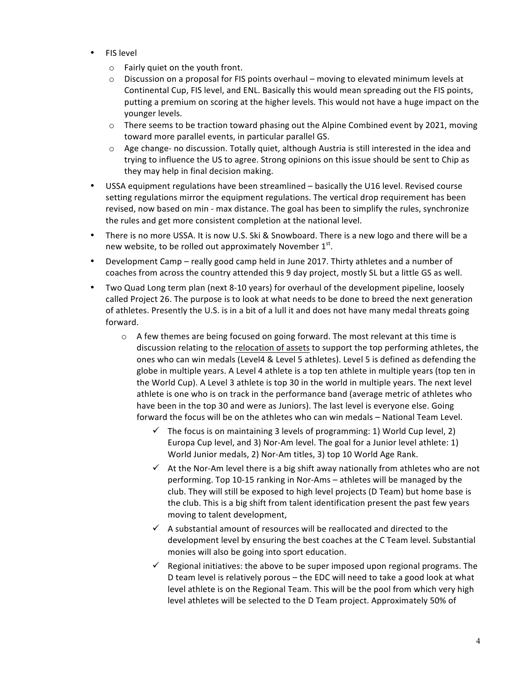- FIS level
	- $\circ$  Fairly quiet on the youth front.
	- $\circ$  Discussion on a proposal for FIS points overhaul moving to elevated minimum levels at Continental Cup, FIS level, and ENL. Basically this would mean spreading out the FIS points, putting a premium on scoring at the higher levels. This would not have a huge impact on the younger levels.
	- $\circ$  There seems to be traction toward phasing out the Alpine Combined event by 2021, moving toward more parallel events, in particular parallel GS.
	- $\circ$  Age change- no discussion. Totally quiet, although Austria is still interested in the idea and trying to influence the US to agree. Strong opinions on this issue should be sent to Chip as they may help in final decision making.
- USSA equipment regulations have been streamlined basically the U16 level. Revised course setting regulations mirror the equipment regulations. The vertical drop requirement has been revised, now based on min - max distance. The goal has been to simplify the rules, synchronize the rules and get more consistent completion at the national level.
- There is no more USSA. It is now U.S. Ski & Snowboard. There is a new logo and there will be a new website, to be rolled out approximately November  $1<sup>st</sup>$ .
- Development Camp really good camp held in June 2017. Thirty athletes and a number of coaches from across the country attended this 9 day project, mostly SL but a little GS as well.
- Two Quad Long term plan (next 8-10 years) for overhaul of the development pipeline, loosely called Project 26. The purpose is to look at what needs to be done to breed the next generation of athletes. Presently the U.S. is in a bit of a lull it and does not have many medal threats going forward.
	- $\circ$  A few themes are being focused on going forward. The most relevant at this time is discussion relating to the relocation of assets to support the top performing athletes, the ones who can win medals (Level4 & Level 5 athletes). Level 5 is defined as defending the globe in multiple years. A Level 4 athlete is a top ten athlete in multiple years (top ten in the World Cup). A Level 3 athlete is top 30 in the world in multiple years. The next level athlete is one who is on track in the performance band (average metric of athletes who have been in the top 30 and were as Juniors). The last level is everyone else. Going forward the focus will be on the athletes who can win medals – National Team Level.
		- $\checkmark$  The focus is on maintaining 3 levels of programming: 1) World Cup level, 2) Europa Cup level, and 3) Nor-Am level. The goal for a Junior level athlete: 1) World Junior medals, 2) Nor-Am titles, 3) top 10 World Age Rank.
		- $\checkmark$  At the Nor-Am level there is a big shift away nationally from athletes who are not performing. Top 10-15 ranking in Nor-Ams – athletes will be managed by the club. They will still be exposed to high level projects (D Team) but home base is the club. This is a big shift from talent identification present the past few years moving to talent development,
		- $\checkmark$  A substantial amount of resources will be reallocated and directed to the development level by ensuring the best coaches at the C Team level. Substantial monies will also be going into sport education.
		- $\checkmark$  Regional initiatives: the above to be super imposed upon regional programs. The D team level is relatively porous - the EDC will need to take a good look at what level athlete is on the Regional Team. This will be the pool from which very high level athletes will be selected to the D Team project. Approximately 50% of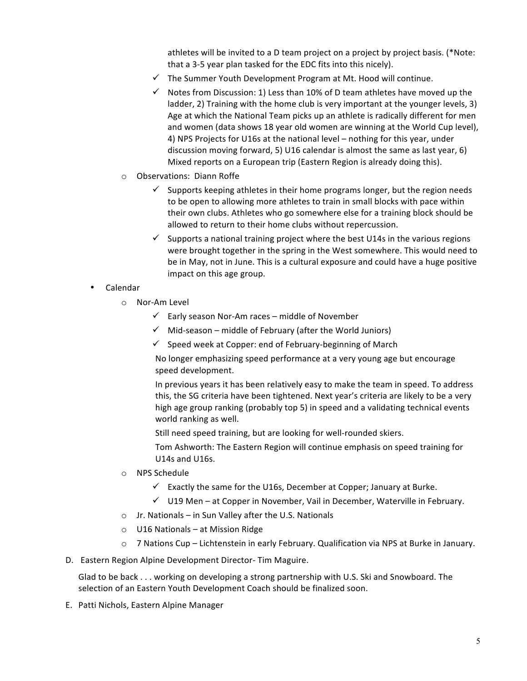athletes will be invited to a D team project on a project by project basis. (\*Note: that a 3-5 year plan tasked for the EDC fits into this nicely).

- $\checkmark$  The Summer Youth Development Program at Mt. Hood will continue.
- $\checkmark$  Notes from Discussion: 1) Less than 10% of D team athletes have moved up the ladder, 2) Training with the home club is very important at the younger levels, 3) Age at which the National Team picks up an athlete is radically different for men and women (data shows 18 year old women are winning at the World Cup level), 4) NPS Projects for U16s at the national level – nothing for this year, under discussion moving forward, 5) U16 calendar is almost the same as last year, 6) Mixed reports on a European trip (Eastern Region is already doing this).
- o Observations: Diann Roffe
	- Supports keeping athletes in their home programs longer, but the region needs to be open to allowing more athletes to train in small blocks with pace within their own clubs. Athletes who go somewhere else for a training block should be allowed to return to their home clubs without repercussion.
	- $\checkmark$  Supports a national training project where the best U14s in the various regions were brought together in the spring in the West somewhere. This would need to be in May, not in June. This is a cultural exposure and could have a huge positive impact on this age group.
- Calendar
	- o Nor-Am Level
		- $\checkmark$  Early season Nor-Am races middle of November
		- $\checkmark$  Mid-season middle of February (after the World Juniors)
		- $\checkmark$  Speed week at Copper: end of February-beginning of March

No longer emphasizing speed performance at a very young age but encourage speed development.

In previous years it has been relatively easy to make the team in speed. To address this, the SG criteria have been tightened. Next year's criteria are likely to be a very high age group ranking (probably top 5) in speed and a validating technical events world ranking as well.

Still need speed training, but are looking for well-rounded skiers.

Tom Ashworth: The Eastern Region will continue emphasis on speed training for U14s and U16s.

- o NPS Schedule
	- $\checkmark$  Exactly the same for the U16s, December at Copper; January at Burke.
	- $\checkmark$  U19 Men at Copper in November, Vail in December, Waterville in February.
- $\circ$  Jr. Nationals in Sun Valley after the U.S. Nationals
- o U16 Nationals at Mission Ridge
- $\circ$  7 Nations Cup Lichtenstein in early February. Qualification via NPS at Burke in January.
- D. Eastern Region Alpine Development Director- Tim Maguire.

Glad to be back . . . working on developing a strong partnership with U.S. Ski and Snowboard. The selection of an Eastern Youth Development Coach should be finalized soon.

E. Patti Nichols, Eastern Alpine Manager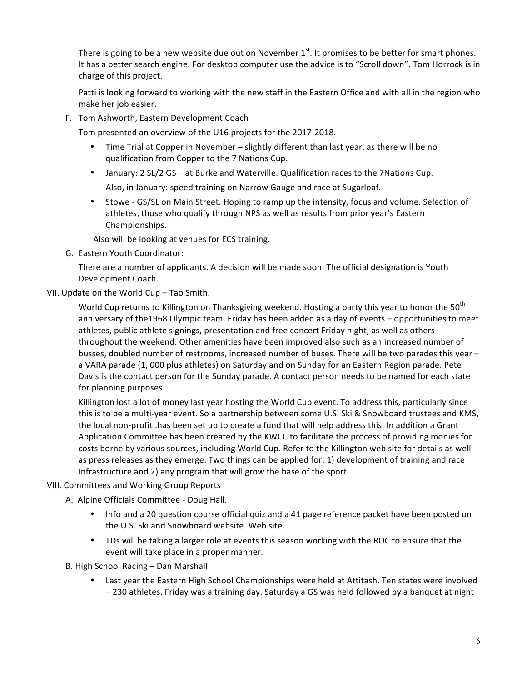There is going to be a new website due out on November  $1<sup>st</sup>$ . It promises to be better for smart phones. It has a better search engine. For desktop computer use the advice is to "Scroll down". Tom Horrock is in charge of this project.

Patti is looking forward to working with the new staff in the Eastern Office and with all in the region who make her job easier.

F. Tom Ashworth, Eastern Development Coach

Tom presented an overview of the U16 projects for the 2017-2018.

- Time Trial at Copper in November slightly different than last year, as there will be no qualification from Copper to the 7 Nations Cup.
- January: 2 SL/2 GS at Burke and Waterville. Qualification races to the 7Nations Cup. Also, in January: speed training on Narrow Gauge and race at Sugarloaf.
- Stowe GS/SL on Main Street. Hoping to ramp up the intensity, focus and volume. Selection of athletes, those who qualify through NPS as well as results from prior year's Eastern Championships.

Also will be looking at venues for ECS training.

G. Eastern Youth Coordinator: 

There are a number of applicants. A decision will be made soon. The official designation is Youth Development Coach.

VII. Update on the World Cup - Tao Smith.

World Cup returns to Killington on Thanksgiving weekend. Hosting a party this year to honor the 50<sup>th</sup> anniversary of the1968 Olympic team. Friday has been added as a day of events – opportunities to meet athletes, public athlete signings, presentation and free concert Friday night, as well as others throughout the weekend. Other amenities have been improved also such as an increased number of busses, doubled number of restrooms, increased number of buses. There will be two parades this year – a VARA parade (1, 000 plus athletes) on Saturday and on Sunday for an Eastern Region parade. Pete Davis is the contact person for the Sunday parade. A contact person needs to be named for each state for planning purposes.

Killington lost a lot of money last year hosting the World Cup event. To address this, particularly since this is to be a multi-year event. So a partnership between some U.S. Ski & Snowboard trustees and KMS, the local non-profit .has been set up to create a fund that will help address this. In addition a Grant Application Committee has been created by the KWCC to facilitate the process of providing monies for costs borne by various sources, including World Cup. Refer to the Killington web site for details as well as press releases as they emerge. Two things can be applied for: 1) development of training and race Infrastructure and 2) any program that will grow the base of the sport.

## VIII. Committees and Working Group Reports

- A. Alpine Officials Committee Doug Hall.
	- Info and a 20 question course official quiz and a 41 page reference packet have been posted on the U.S. Ski and Snowboard website. Web site.
	- TDs will be taking a larger role at events this season working with the ROC to ensure that the event will take place in a proper manner.

B. High School Racing - Dan Marshall

Last year the Eastern High School Championships were held at Attitash. Ten states were involved  $-230$  athletes. Friday was a training day. Saturday a GS was held followed by a banquet at night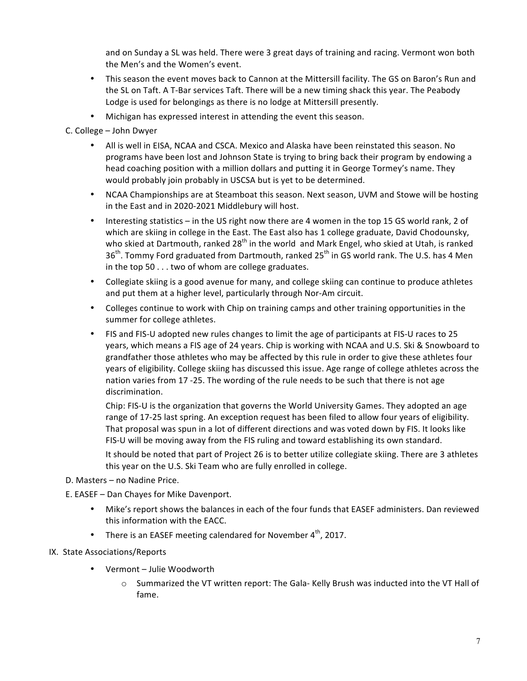and on Sunday a SL was held. There were 3 great days of training and racing. Vermont won both the Men's and the Women's event.

- This season the event moves back to Cannon at the Mittersill facility. The GS on Baron's Run and the SL on Taft. A T-Bar services Taft. There will be a new timing shack this year. The Peabody Lodge is used for belongings as there is no lodge at Mittersill presently.
- Michigan has expressed interest in attending the event this season.

# C. College - John Dwyer

- All is well in EISA, NCAA and CSCA. Mexico and Alaska have been reinstated this season. No programs have been lost and Johnson State is trying to bring back their program by endowing a head coaching position with a million dollars and putting it in George Tormey's name. They would probably join probably in USCSA but is yet to be determined.
- NCAA Championships are at Steamboat this season. Next season, UVM and Stowe will be hosting in the East and in 2020-2021 Middlebury will host.
- Interesting statistics in the US right now there are 4 women in the top 15 GS world rank, 2 of which are skiing in college in the East. The East also has 1 college graduate, David Chodounsky, who skied at Dartmouth, ranked  $28<sup>th</sup>$  in the world and Mark Engel, who skied at Utah, is ranked 36<sup>th</sup>. Tommy Ford graduated from Dartmouth, ranked 25<sup>th</sup> in GS world rank. The U.S. has 4 Men in the top  $50...$  two of whom are college graduates.
- Collegiate skiing is a good avenue for many, and college skiing can continue to produce athletes and put them at a higher level, particularly through Nor-Am circuit.
- Colleges continue to work with Chip on training camps and other training opportunities in the summer for college athletes.
- FIS and FIS-U adopted new rules changes to limit the age of participants at FIS-U races to 25 years, which means a FIS age of 24 years. Chip is working with NCAA and U.S. Ski & Snowboard to grandfather those athletes who may be affected by this rule in order to give these athletes four years of eligibility. College skiing has discussed this issue. Age range of college athletes across the nation varies from 17 -25. The wording of the rule needs to be such that there is not age discrimination.

Chip: FIS-U is the organization that governs the World University Games. They adopted an age range of 17-25 last spring. An exception request has been filed to allow four years of eligibility. That proposal was spun in a lot of different directions and was voted down by FIS. It looks like FIS-U will be moving away from the FIS ruling and toward establishing its own standard.

It should be noted that part of Project 26 is to better utilize collegiate skiing. There are 3 athletes this year on the U.S. Ski Team who are fully enrolled in college.

- D. Masters no Nadine Price.
- E. EASEF Dan Chayes for Mike Davenport.
	- Mike's report shows the balances in each of the four funds that EASEF administers. Dan reviewed this information with the EACC.
	- There is an EASEF meeting calendared for November  $4<sup>th</sup>$ , 2017.

## IX. State Associations/Reports

- Vermont Julie Woodworth
	- $\circ$  Summarized the VT written report: The Gala- Kelly Brush was inducted into the VT Hall of fame.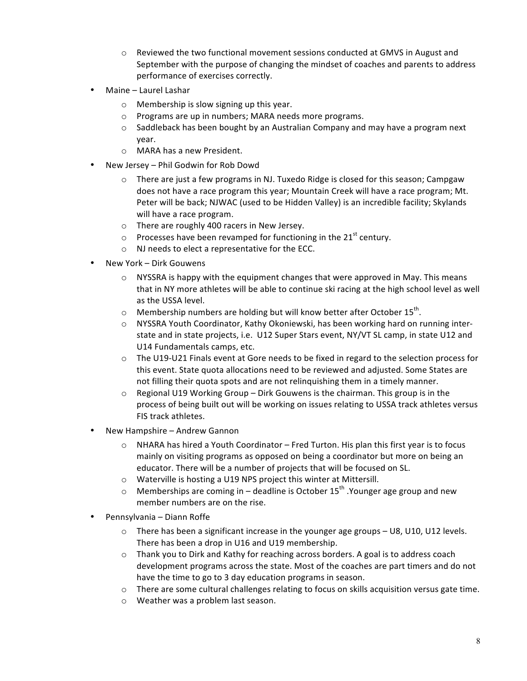- $\circ$  Reviewed the two functional movement sessions conducted at GMVS in August and September with the purpose of changing the mindset of coaches and parents to address performance of exercises correctly.
- Maine Laurel Lashar
	- $\circ$  Membership is slow signing up this year.
	- $\circ$  Programs are up in numbers; MARA needs more programs.
	- $\circ$  Saddleback has been bought by an Australian Company and may have a program next year.
	- o MARA has a new President.
- New Jersey Phil Godwin for Rob Dowd
	- $\circ$  There are just a few programs in NJ. Tuxedo Ridge is closed for this season; Campgaw does not have a race program this year; Mountain Creek will have a race program; Mt. Peter will be back; NJWAC (used to be Hidden Valley) is an incredible facility; Skylands will have a race program.
	- $\circ$  There are roughly 400 racers in New Jersey.
	- $\circ$  Processes have been revamped for functioning in the 21<sup>st</sup> century.
	- $\circ$  NJ needs to elect a representative for the ECC.
- New York Dirk Gouwens
	- $\circ$  NYSSRA is happy with the equipment changes that were approved in May. This means that in NY more athletes will be able to continue ski racing at the high school level as well as the USSA level.
	- o Membership numbers are holding but will know better after October 15<sup>th</sup>.
	- $\circ$  NYSSRA Youth Coordinator, Kathy Okoniewski, has been working hard on running interstate and in state projects, i.e. U12 Super Stars event, NY/VT SL camp, in state U12 and U14 Fundamentals camps, etc.
	- $\circ$  The U19-U21 Finals event at Gore needs to be fixed in regard to the selection process for this event. State quota allocations need to be reviewed and adjusted. Some States are not filling their quota spots and are not relinquishing them in a timely manner.
	- $\circ$  Regional U19 Working Group Dirk Gouwens is the chairman. This group is in the process of being built out will be working on issues relating to USSA track athletes versus FIS track athletes.
- New Hampshire Andrew Gannon
	- NHARA has hired a Youth Coordinator Fred Turton. His plan this first year is to focus mainly on visiting programs as opposed on being a coordinator but more on being an educator. There will be a number of projects that will be focused on SL.
	- $\circ$  Waterville is hosting a U19 NPS project this winter at Mittersill.
	- $\circ$  Memberships are coming in deadline is October 15<sup>th</sup> .Younger age group and new member numbers are on the rise.
- Pennsylvania Diann Roffe
	- $\circ$  There has been a significant increase in the younger age groups U8, U10, U12 levels. There has been a drop in U16 and U19 membership.
	- $\circ$  Thank you to Dirk and Kathy for reaching across borders. A goal is to address coach development programs across the state. Most of the coaches are part timers and do not have the time to go to 3 day education programs in season.
	- $\circ$  There are some cultural challenges relating to focus on skills acquisition versus gate time.
	- o Weather was a problem last season.